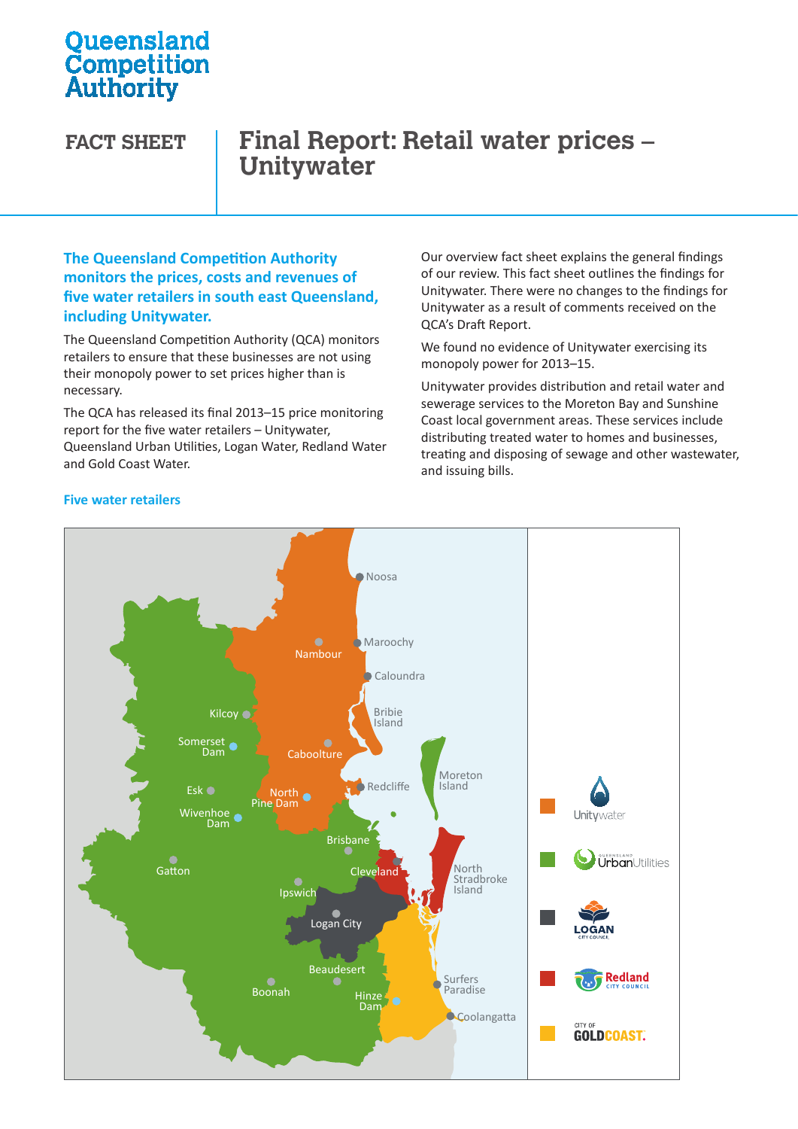# **Oueensland Competition**<br>Authority

# **FACT SHEET Final Report: Retail water prices – Unitywater**

### **The Queensland Competition Authority monitors the prices, costs and revenues of five water retailers in south east Queensland, including Unitywater.**

The Queensland Competition Authority (QCA) monitors retailers to ensure that these businesses are not using their monopoly power to set prices higher than is necessary.

The QCA has released its final 2013–15 price monitoring report for the five water retailers – Unitywater,  $\frac{1}{\sqrt{2\pi}}$  distributing tro Queensland Urban Utilities, Logan Water, Redland Water Urban Utilities Water Water and Gold Coast Water.

Our overview fact sheet explains the general findings of our review. This fact sheet outlines the findings for Unitywater. There were no changes to the findings for Unitywater as a result of comments received on the QCA's Draft Report.

We found no evidence of Unitywater exercising its monopoly power for 2013–15.

Unitywater provides distribution and retail water and sewerage services to the Moreton Bay and Sunshine Coast local government areas. These services include distributing treated water to homes and businesses, treating and disposing of sewage and other wastewater, and issuing bills.



#### **Five water retailers**